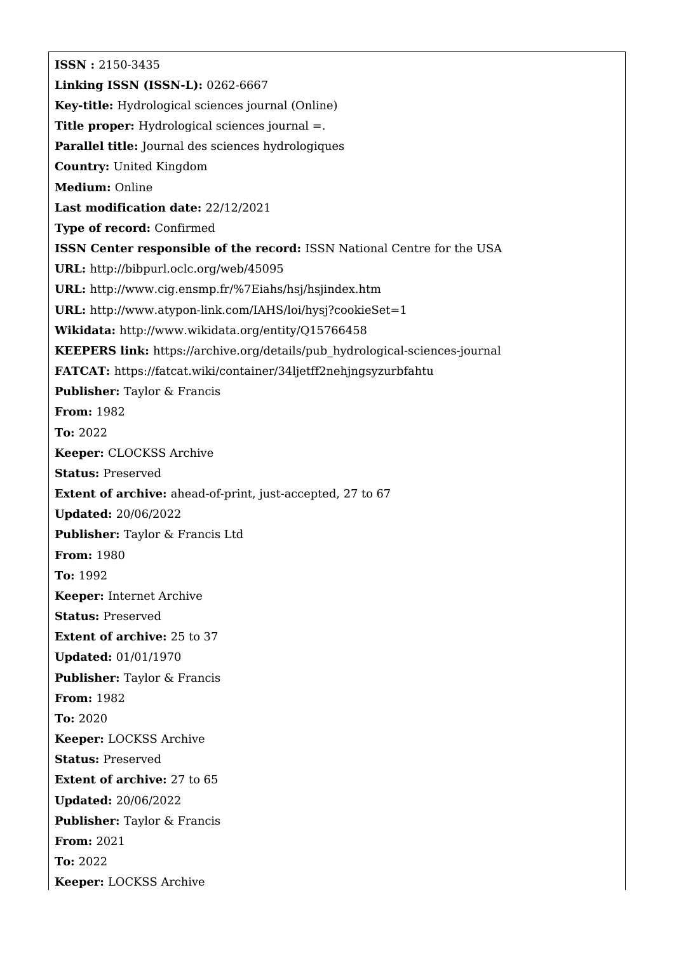**ISSN :** 2150-3435 **Linking ISSN (ISSN-L):** 0262-6667 **Key-title:** Hydrological sciences journal (Online) **Title proper:** Hydrological sciences journal =. **Parallel title:** Journal des sciences hydrologiques **Country:** United Kingdom **Medium:** Online **Last modification date:** 22/12/2021 **Type of record:** Confirmed **ISSN Center responsible of the record:** ISSN National Centre for the USA **URL:** <http://bibpurl.oclc.org/web/45095> **URL:** <http://www.cig.ensmp.fr/%7Eiahs/hsj/hsjindex.htm> **URL:** <http://www.atypon-link.com/IAHS/loi/hysj?cookieSet=1> **Wikidata:** <http://www.wikidata.org/entity/Q15766458> **KEEPERS link:** [https://archive.org/details/pub\\_hydrological-sciences-journal](https://archive.org/details/pub_hydrological-sciences-journal) **FATCAT:** <https://fatcat.wiki/container/34ljetff2nehjngsyzurbfahtu> **Publisher:** Taylor & Francis **From:** 1982 **To:** 2022 **Keeper:** CLOCKSS Archive **Status:** Preserved **Extent of archive:** ahead-of-print, just-accepted, 27 to 67 **Updated:** 20/06/2022 **Publisher:** Taylor & Francis Ltd **From:** 1980 **To:** 1992 **Keeper:** Internet Archive **Status:** Preserved **Extent of archive:** 25 to 37 **Updated:** 01/01/1970 **Publisher:** Taylor & Francis **From:** 1982 **To:** 2020 **Keeper:** LOCKSS Archive **Status:** Preserved **Extent of archive:** 27 to 65 **Updated:** 20/06/2022 **Publisher:** Taylor & Francis **From:** 2021 **To:** 2022 **Keeper:** LOCKSS Archive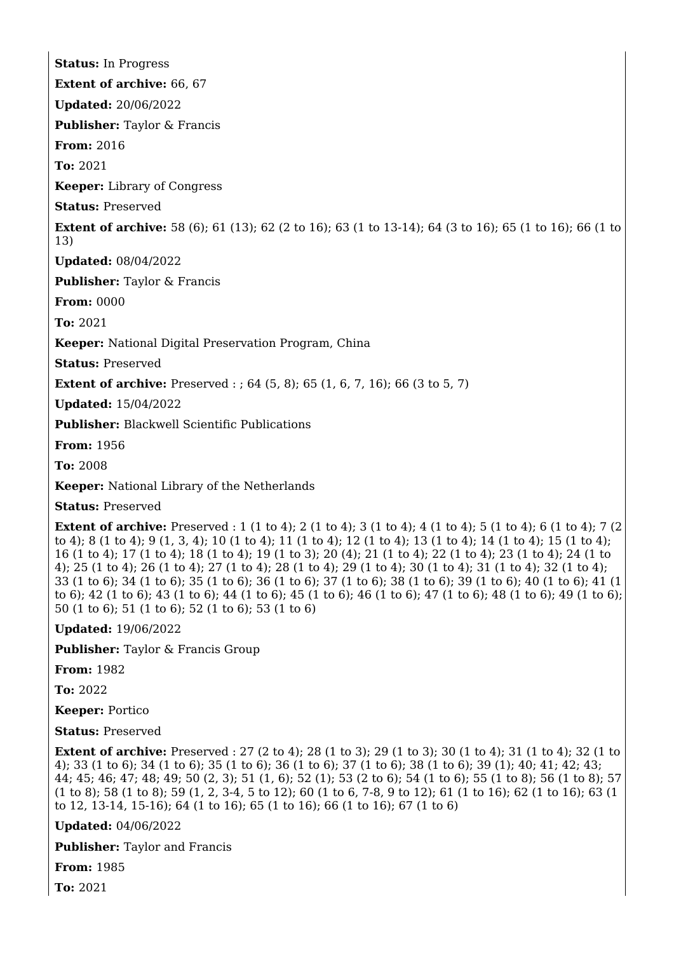**Status:** In Progress **Extent of archive:** 66, 67 **Updated:** 20/06/2022 **Publisher:** Taylor & Francis **From:** 2016 **To:** 2021 **Keeper:** Library of Congress **Status:** Preserved **Extent of archive:** 58 (6); 61 (13); 62 (2 to 16); 63 (1 to 13-14); 64 (3 to 16); 65 (1 to 16); 66 (1 to 13) **Updated:** 08/04/2022 **Publisher:** Taylor & Francis **From:** 0000 **To:** 2021 **Keeper:** National Digital Preservation Program, China **Status:** Preserved **Extent of archive:** Preserved : : 64 (5, 8); 65 (1, 6, 7, 16); 66 (3 to 5, 7) **Updated:** 15/04/2022 **Publisher:** Blackwell Scientific Publications **From:** 1956 **To:** 2008 **Keeper:** National Library of the Netherlands

**Status:** Preserved

**Extent of archive:** Preserved : 1 (1 to 4); 2 (1 to 4); 3 (1 to 4); 4 (1 to 4); 5 (1 to 4); 6 (1 to 4); 7 (2) to 4); 8 (1 to 4); 9 (1, 3, 4); 10 (1 to 4); 11 (1 to 4); 12 (1 to 4); 13 (1 to 4); 14 (1 to 4); 15 (1 to 4); 16 (1 to 4); 17 (1 to 4); 18 (1 to 4); 19 (1 to 3); 20 (4); 21 (1 to 4); 22 (1 to 4); 23 (1 to 4); 24 (1 to 4); 25 (1 to 4); 26 (1 to 4); 27 (1 to 4); 28 (1 to 4); 29 (1 to 4); 30 (1 to 4); 31 (1 to 4); 32 (1 to 4); 33 (1 to 6); 34 (1 to 6); 35 (1 to 6); 36 (1 to 6); 37 (1 to 6); 38 (1 to 6); 39 (1 to 6); 40 (1 to 6); 41 (1 to 6); 42 (1 to 6); 43 (1 to 6); 44 (1 to 6); 45 (1 to 6); 46 (1 to 6); 47 (1 to 6); 48 (1 to 6); 49 (1 to 6); 50 (1 to 6); 51 (1 to 6); 52 (1 to 6); 53 (1 to 6)

**Updated:** 19/06/2022

**Publisher:** Taylor & Francis Group

**From:** 1982

**To:** 2022

**Keeper:** Portico

**Status:** Preserved

**Extent of archive:** Preserved : 27 (2 to 4): 28 (1 to 3): 29 (1 to 3): 30 (1 to 4): 31 (1 to 4): 32 (1 to 4); 33 (1 to 6); 34 (1 to 6); 35 (1 to 6); 36 (1 to 6); 37 (1 to 6); 38 (1 to 6); 39 (1); 40; 41; 42; 43; 44; 45; 46; 47; 48; 49; 50 (2, 3); 51 (1, 6); 52 (1); 53 (2 to 6); 54 (1 to 6); 55 (1 to 8); 56 (1 to 8); 57 (1 to 8); 58 (1 to 8); 59 (1, 2, 3-4, 5 to 12); 60 (1 to 6, 7-8, 9 to 12); 61 (1 to 16); 62 (1 to 16); 63 (1 to 12, 13-14, 15-16); 64 (1 to 16); 65 (1 to 16); 66 (1 to 16); 67 (1 to 6)

**Updated:** 04/06/2022

**Publisher:** Taylor and Francis

**From:** 1985

**To:** 2021